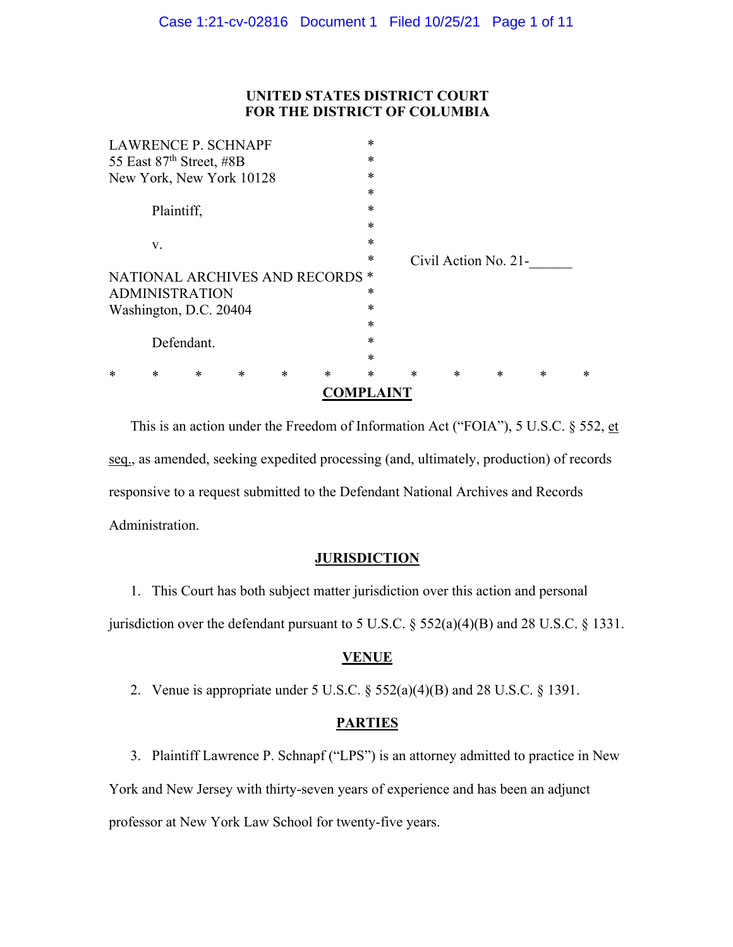# **UNITED STATES DISTRICT COURT FOR THE DISTRICT OF COLUMBIA**

|                            |                             |        |        |        |                                 | ADVIPLAIN I |        |        |                      |        |   |  |
|----------------------------|-----------------------------|--------|--------|--------|---------------------------------|-------------|--------|--------|----------------------|--------|---|--|
| ж                          | $\ast$                      | $\ast$ | $\ast$ | $\ast$ | $\ast$                          | $\ast$      | $\ast$ | $\ast$ | $\ast$               | $\ast$ | * |  |
|                            |                             |        |        |        |                                 | $\ast$      |        |        |                      |        |   |  |
| Defendant.                 |                             |        |        |        |                                 | $\ast$      |        |        |                      |        |   |  |
|                            |                             |        |        |        |                                 | $\ast$      |        |        |                      |        |   |  |
|                            | *<br>Washington, D.C. 20404 |        |        |        |                                 |             |        |        |                      |        |   |  |
| *<br><b>ADMINISTRATION</b> |                             |        |        |        |                                 |             |        |        |                      |        |   |  |
|                            |                             |        |        |        | NATIONAL ARCHIVES AND RECORDS * |             |        |        |                      |        |   |  |
|                            |                             |        |        |        |                                 | $\ast$      |        |        | Civil Action No. 21- |        |   |  |
| V.                         |                             |        |        |        |                                 | $\ast$      |        |        |                      |        |   |  |
|                            |                             |        |        |        |                                 | $\ast$      |        |        |                      |        |   |  |
| Plaintiff,                 |                             |        |        |        |                                 | $\ast$      |        |        |                      |        |   |  |
|                            |                             |        |        |        |                                 | $\ast$      |        |        |                      |        |   |  |
| New York, New York 10128   |                             |        |        |        |                                 | $\ast$      |        |        |                      |        |   |  |
| 55 East 87th Street, #8B   |                             |        |        |        |                                 | $\ast$      |        |        |                      |        |   |  |
| <b>LAWRENCE P. SCHNAPF</b> |                             |        |        |        |                                 | $\ast$      |        |        |                      |        |   |  |

This is an action under the Freedom of Information Act ("FOIA"), 5 U.S.C. § 552, et seq., as amended, seeking expedited processing (and, ultimately, production) of records responsive to a request submitted to the Defendant National Archives and Records Administration.

# **JURISDICTION**

1. This Court has both subject matter jurisdiction over this action and personal jurisdiction over the defendant pursuant to 5 U.S.C.  $\S$  552(a)(4)(B) and 28 U.S.C.  $\S$  1331.

## **VENUE**

2. Venue is appropriate under 5 U.S.C.  $\S 552(a)(4)(B)$  and 28 U.S.C.  $\S 1391$ .

# **PARTIES**

3. Plaintiff Lawrence P. Schnapf ("LPS") is an attorney admitted to practice in New York and New Jersey with thirty-seven years of experience and has been an adjunct professor at New York Law School for twenty-five years.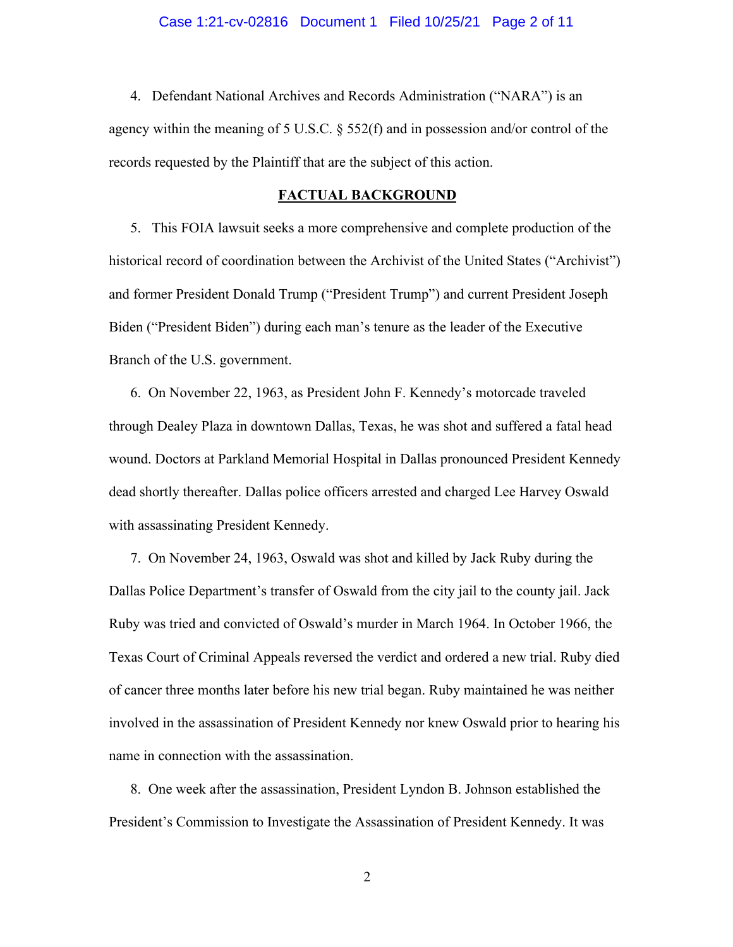4. Defendant National Archives and Records Administration ("NARA") is an agency within the meaning of 5 U.S.C. § 552(f) and in possession and/or control of the records requested by the Plaintiff that are the subject of this action.

#### **FACTUAL BACKGROUND**

5. This FOIA lawsuit seeks a more comprehensive and complete production of the historical record of coordination between the Archivist of the United States ("Archivist") and former President Donald Trump ("President Trump") and current President Joseph Biden ("President Biden") during each man's tenure as the leader of the Executive Branch of the U.S. government.

6. On November 22, 1963, as President John F. Kennedy's motorcade traveled through Dealey Plaza in downtown Dallas, Texas, he was shot and suffered a fatal head wound. Doctors at Parkland Memorial Hospital in Dallas pronounced President Kennedy dead shortly thereafter. Dallas police officers arrested and charged Lee Harvey Oswald with assassinating President Kennedy.

7. On November 24, 1963, Oswald was shot and killed by Jack Ruby during the Dallas Police Department's transfer of Oswald from the city jail to the county jail. Jack Ruby was tried and convicted of Oswald's murder in March 1964. In October 1966, the Texas Court of Criminal Appeals reversed the verdict and ordered a new trial. Ruby died of cancer three months later before his new trial began. Ruby maintained he was neither involved in the assassination of President Kennedy nor knew Oswald prior to hearing his name in connection with the assassination.

8. One week after the assassination, President Lyndon B. Johnson established the President's Commission to Investigate the Assassination of President Kennedy. It was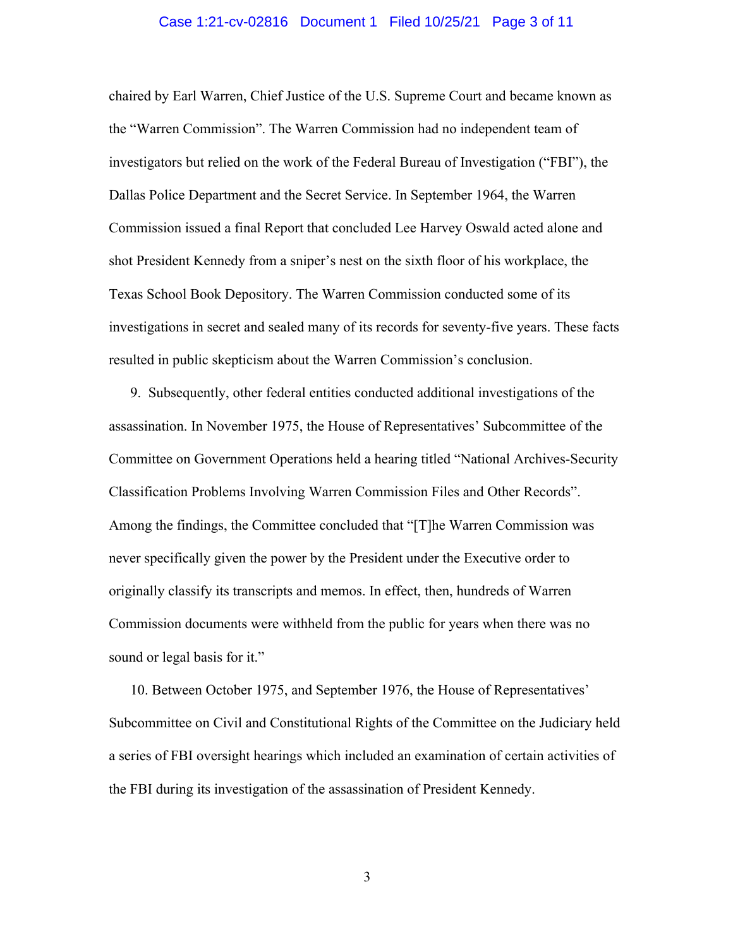#### Case 1:21-cv-02816 Document 1 Filed 10/25/21 Page 3 of 11

chaired by Earl Warren, Chief Justice of the U.S. Supreme Court and became known as the "Warren Commission". The Warren Commission had no independent team of investigators but relied on the work of the Federal Bureau of Investigation ("FBI"), the Dallas Police Department and the Secret Service. In September 1964, the Warren Commission issued a final Report that concluded Lee Harvey Oswald acted alone and shot President Kennedy from a sniper's nest on the sixth floor of his workplace, the Texas School Book Depository. The Warren Commission conducted some of its investigations in secret and sealed many of its records for seventy-five years. These facts resulted in public skepticism about the Warren Commission's conclusion.

9. Subsequently, other federal entities conducted additional investigations of the assassination. In November 1975, the House of Representatives' Subcommittee of the Committee on Government Operations held a hearing titled "National Archives-Security Classification Problems Involving Warren Commission Files and Other Records". Among the findings, the Committee concluded that "[T]he Warren Commission was never specifically given the power by the President under the Executive order to originally classify its transcripts and memos. In effect, then, hundreds of Warren Commission documents were withheld from the public for years when there was no sound or legal basis for it."

10. Between October 1975, and September 1976, the House of Representatives' Subcommittee on Civil and Constitutional Rights of the Committee on the Judiciary held a series of FBI oversight hearings which included an examination of certain activities of the FBI during its investigation of the assassination of President Kennedy.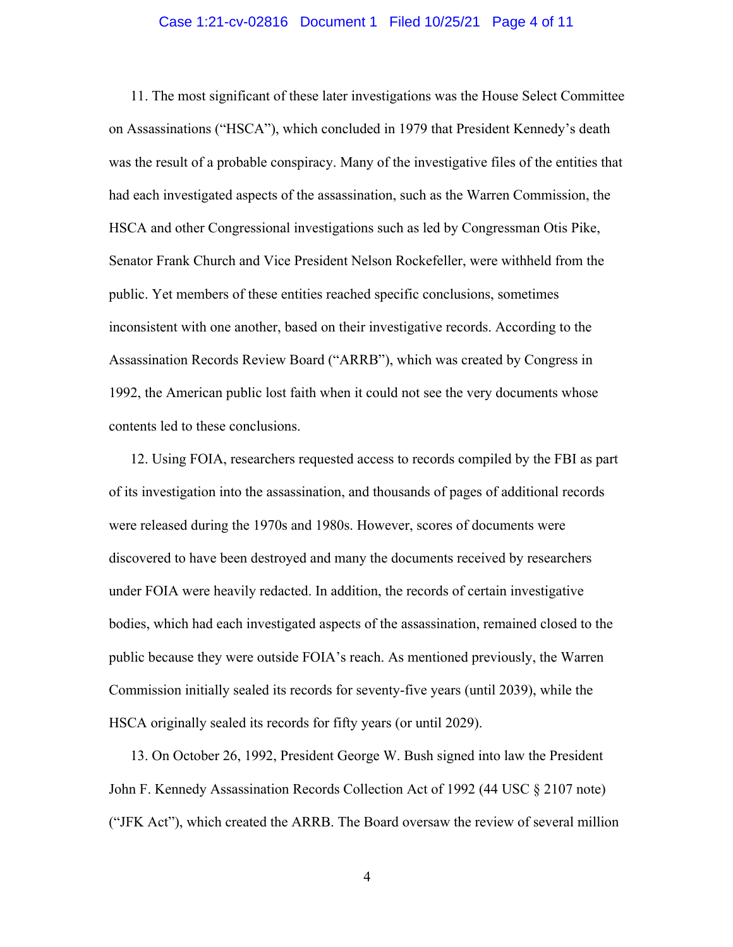#### Case 1:21-cv-02816 Document 1 Filed 10/25/21 Page 4 of 11

11. The most significant of these later investigations was the House Select Committee on Assassinations ("HSCA"), which concluded in 1979 that President Kennedy's death was the result of a probable conspiracy. Many of the investigative files of the entities that had each investigated aspects of the assassination, such as the Warren Commission, the HSCA and other Congressional investigations such as led by Congressman Otis Pike, Senator Frank Church and Vice President Nelson Rockefeller, were withheld from the public. Yet members of these entities reached specific conclusions, sometimes inconsistent with one another, based on their investigative records. According to the Assassination Records Review Board ("ARRB"), which was created by Congress in 1992, the American public lost faith when it could not see the very documents whose contents led to these conclusions.

12. Using FOIA, researchers requested access to records compiled by the FBI as part of its investigation into the assassination, and thousands of pages of additional records were released during the 1970s and 1980s. However, scores of documents were discovered to have been destroyed and many the documents received by researchers under FOIA were heavily redacted. In addition, the records of certain investigative bodies, which had each investigated aspects of the assassination, remained closed to the public because they were outside FOIA's reach. As mentioned previously, the Warren Commission initially sealed its records for seventy-five years (until 2039), while the HSCA originally sealed its records for fifty years (or until 2029).

13. On October 26, 1992, President George W. Bush signed into law the President John F. Kennedy Assassination Records Collection Act of 1992 (44 USC § 2107 note) ("JFK Act"), which created the ARRB. The Board oversaw the review of several million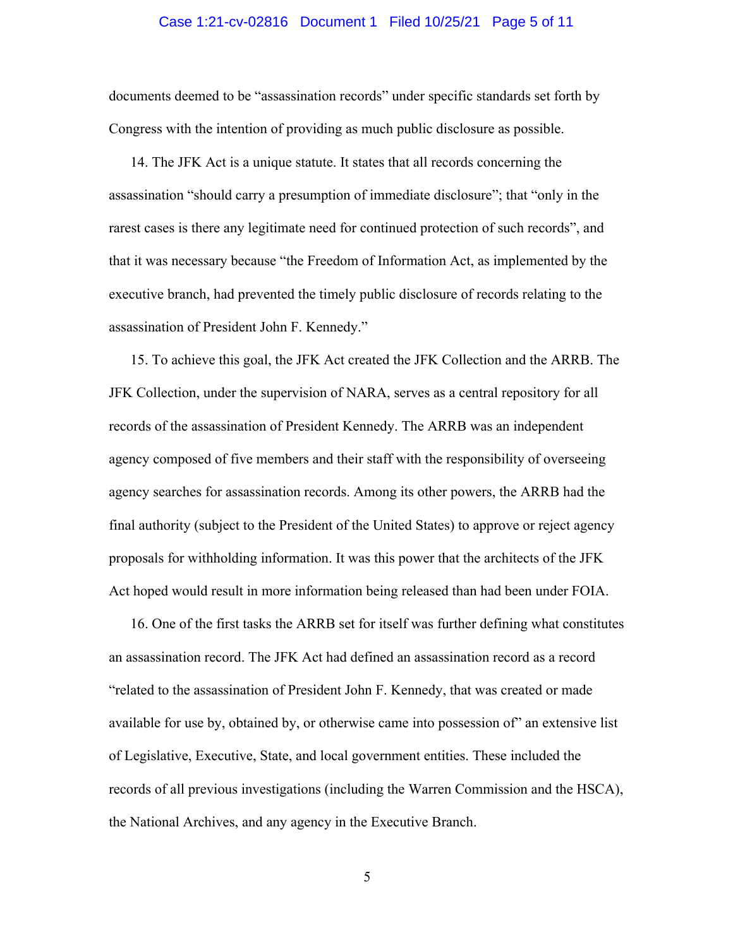### Case 1:21-cv-02816 Document 1 Filed 10/25/21 Page 5 of 11

documents deemed to be "assassination records" under specific standards set forth by Congress with the intention of providing as much public disclosure as possible.

14. The JFK Act is a unique statute. It states that all records concerning the assassination "should carry a presumption of immediate disclosure"; that "only in the rarest cases is there any legitimate need for continued protection of such records", and that it was necessary because "the Freedom of Information Act, as implemented by the executive branch, had prevented the timely public disclosure of records relating to the assassination of President John F. Kennedy."

15. To achieve this goal, the JFK Act created the JFK Collection and the ARRB. The JFK Collection, under the supervision of NARA, serves as a central repository for all records of the assassination of President Kennedy. The ARRB was an independent agency composed of five members and their staff with the responsibility of overseeing agency searches for assassination records. Among its other powers, the ARRB had the final authority (subject to the President of the United States) to approve or reject agency proposals for withholding information. It was this power that the architects of the JFK Act hoped would result in more information being released than had been under FOIA.

16. One of the first tasks the ARRB set for itself was further defining what constitutes an assassination record. The JFK Act had defined an assassination record as a record "related to the assassination of President John F. Kennedy, that was created or made available for use by, obtained by, or otherwise came into possession of" an extensive list of Legislative, Executive, State, and local government entities. These included the records of all previous investigations (including the Warren Commission and the HSCA), the National Archives, and any agency in the Executive Branch.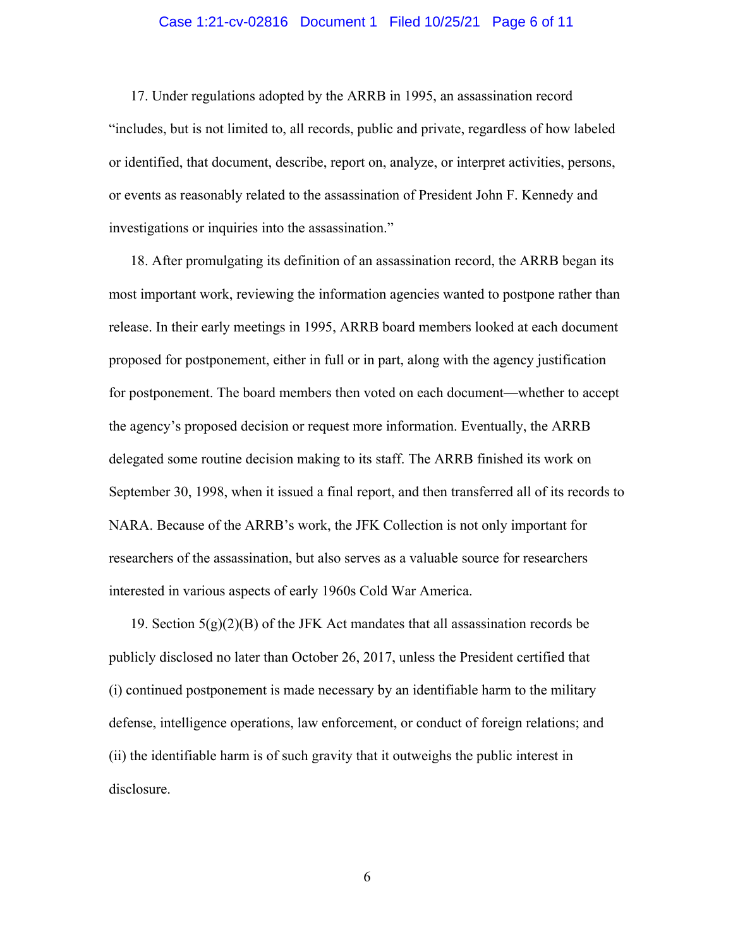### Case 1:21-cv-02816 Document 1 Filed 10/25/21 Page 6 of 11

17. Under regulations adopted by the ARRB in 1995, an assassination record "includes, but is not limited to, all records, public and private, regardless of how labeled or identified, that document, describe, report on, analyze, or interpret activities, persons, or events as reasonably related to the assassination of President John F. Kennedy and investigations or inquiries into the assassination."

18. After promulgating its definition of an assassination record, the ARRB began its most important work, reviewing the information agencies wanted to postpone rather than release. In their early meetings in 1995, ARRB board members looked at each document proposed for postponement, either in full or in part, along with the agency justification for postponement. The board members then voted on each document—whether to accept the agency's proposed decision or request more information. Eventually, the ARRB delegated some routine decision making to its staff. The ARRB finished its work on September 30, 1998, when it issued a final report, and then transferred all of its records to NARA. Because of the ARRB's work, the JFK Collection is not only important for researchers of the assassination, but also serves as a valuable source for researchers interested in various aspects of early 1960s Cold War America.

19. Section  $5(g)(2)(B)$  of the JFK Act mandates that all assassination records be publicly disclosed no later than October 26, 2017, unless the President certified that (i) continued postponement is made necessary by an identifiable harm to the military defense, intelligence operations, law enforcement, or conduct of foreign relations; and (ii) the identifiable harm is of such gravity that it outweighs the public interest in disclosure.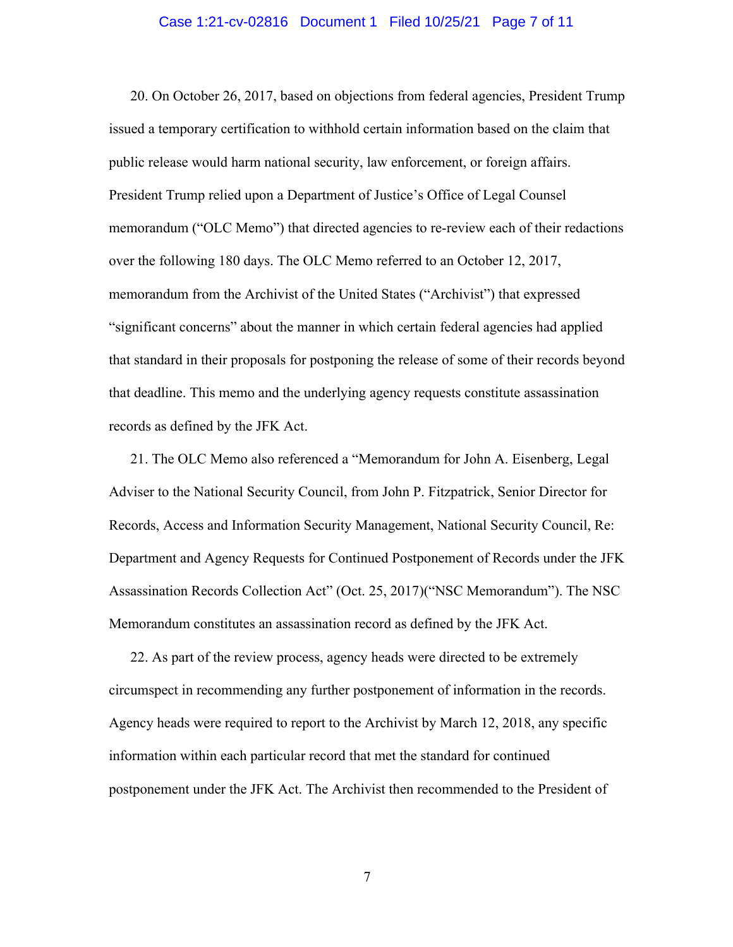#### Case 1:21-cv-02816 Document 1 Filed 10/25/21 Page 7 of 11

20. On October 26, 2017, based on objections from federal agencies, President Trump issued a temporary certification to withhold certain information based on the claim that public release would harm national security, law enforcement, or foreign affairs. President Trump relied upon a Department of Justice's Office of Legal Counsel memorandum ("OLC Memo") that directed agencies to re-review each of their redactions over the following 180 days. The OLC Memo referred to an October 12, 2017, memorandum from the Archivist of the United States ("Archivist") that expressed "significant concerns" about the manner in which certain federal agencies had applied that standard in their proposals for postponing the release of some of their records beyond that deadline. This memo and the underlying agency requests constitute assassination records as defined by the JFK Act.

21. The OLC Memo also referenced a "Memorandum for John A. Eisenberg, Legal Adviser to the National Security Council, from John P. Fitzpatrick, Senior Director for Records, Access and Information Security Management, National Security Council, Re: Department and Agency Requests for Continued Postponement of Records under the JFK Assassination Records Collection Act" (Oct. 25, 2017)("NSC Memorandum"). The NSC Memorandum constitutes an assassination record as defined by the JFK Act.

22. As part of the review process, agency heads were directed to be extremely circumspect in recommending any further postponement of information in the records. Agency heads were required to report to the Archivist by March 12, 2018, any specific information within each particular record that met the standard for continued postponement under the JFK Act. The Archivist then recommended to the President of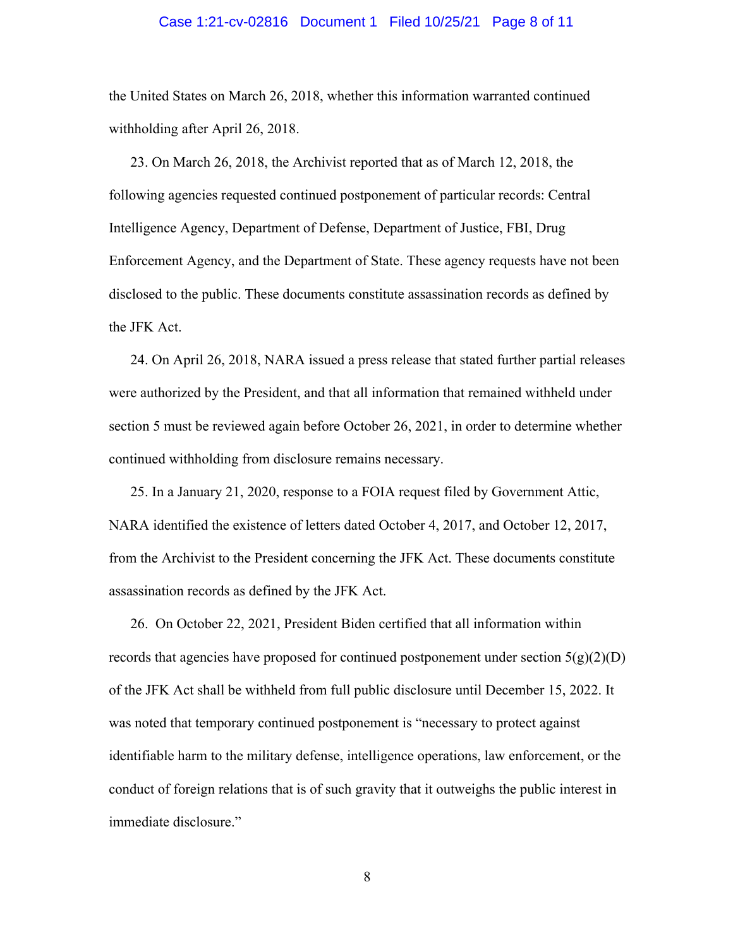#### Case 1:21-cv-02816 Document 1 Filed 10/25/21 Page 8 of 11

the United States on March 26, 2018, whether this information warranted continued withholding after April 26, 2018.

23. On March 26, 2018, the Archivist reported that as of March 12, 2018, the following agencies requested continued postponement of particular records: Central Intelligence Agency, Department of Defense, Department of Justice, FBI, Drug Enforcement Agency, and the Department of State. These agency requests have not been disclosed to the public. These documents constitute assassination records as defined by the JFK Act.

24. On April 26, 2018, NARA issued a press release that stated further partial releases were authorized by the President, and that all information that remained withheld under section 5 must be reviewed again before October 26, 2021, in order to determine whether continued withholding from disclosure remains necessary.

25. In a January 21, 2020, response to a FOIA request filed by Government Attic, NARA identified the existence of letters dated October 4, 2017, and October 12, 2017, from the Archivist to the President concerning the JFK Act. These documents constitute assassination records as defined by the JFK Act.

26. On October 22, 2021, President Biden certified that all information within records that agencies have proposed for continued postponement under section  $5(g)(2)(D)$ of the JFK Act shall be withheld from full public disclosure until December 15, 2022. It was noted that temporary continued postponement is "necessary to protect against identifiable harm to the military defense, intelligence operations, law enforcement, or the conduct of foreign relations that is of such gravity that it outweighs the public interest in immediate disclosure."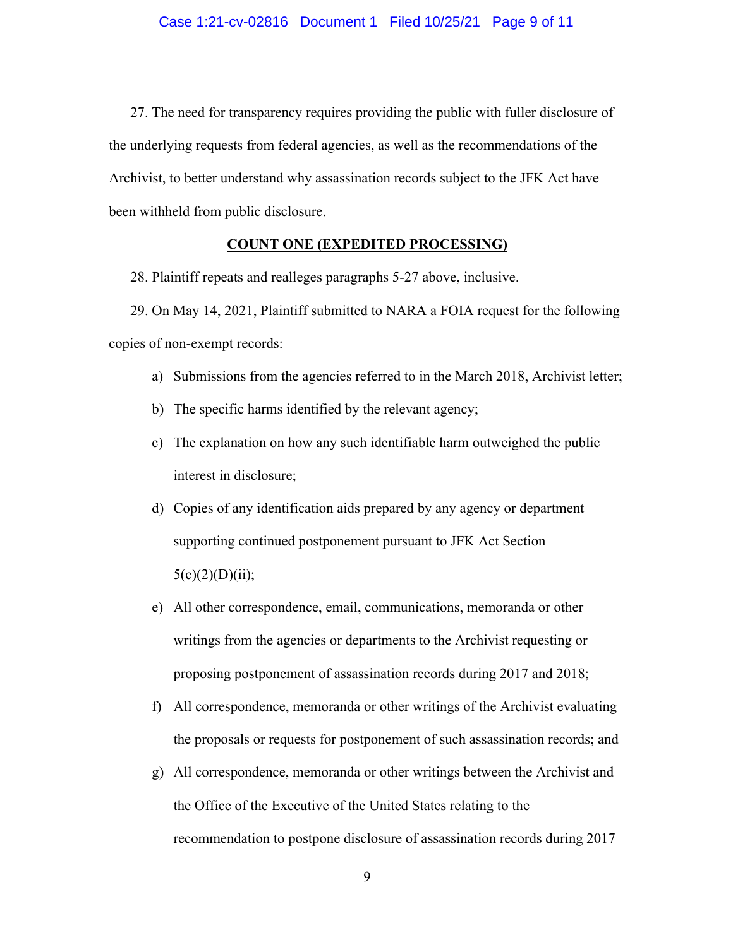27. The need for transparency requires providing the public with fuller disclosure of the underlying requests from federal agencies, as well as the recommendations of the Archivist, to better understand why assassination records subject to the JFK Act have been withheld from public disclosure.

## **COUNT ONE (EXPEDITED PROCESSING)**

28. Plaintiff repeats and realleges paragraphs 5-27 above, inclusive.

29. On May 14, 2021, Plaintiff submitted to NARA a FOIA request for the following copies of non-exempt records:

- a) Submissions from the agencies referred to in the March 2018, Archivist letter;
- b) The specific harms identified by the relevant agency;
- c) The explanation on how any such identifiable harm outweighed the public interest in disclosure;
- d) Copies of any identification aids prepared by any agency or department supporting continued postponement pursuant to JFK Act Section  $5(c)(2)(D)(ii);$
- e) All other correspondence, email, communications, memoranda or other writings from the agencies or departments to the Archivist requesting or proposing postponement of assassination records during 2017 and 2018;
- f) All correspondence, memoranda or other writings of the Archivist evaluating the proposals or requests for postponement of such assassination records; and
- g) All correspondence, memoranda or other writings between the Archivist and the Office of the Executive of the United States relating to the recommendation to postpone disclosure of assassination records during 2017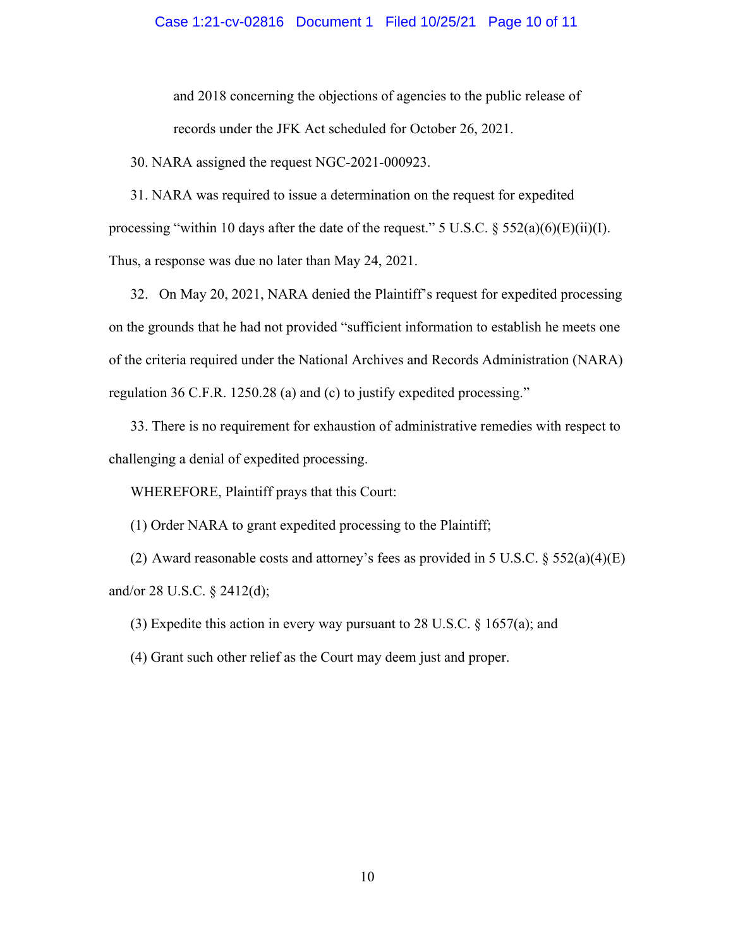#### Case 1:21-cv-02816 Document 1 Filed 10/25/21 Page 10 of 11

and 2018 concerning the objections of agencies to the public release of records under the JFK Act scheduled for October 26, 2021.

30. NARA assigned the request NGC-2021-000923.

31. NARA was required to issue a determination on the request for expedited processing "within 10 days after the date of the request." 5 U.S.C.  $\S 552(a)(6)(E)(ii)(I)$ . Thus, a response was due no later than May 24, 2021.

32. On May 20, 2021, NARA denied the Plaintiff's request for expedited processing on the grounds that he had not provided "sufficient information to establish he meets one of the criteria required under the National Archives and Records Administration (NARA) regulation 36 C.F.R. 1250.28 (a) and (c) to justify expedited processing."

33. There is no requirement for exhaustion of administrative remedies with respect to challenging a denial of expedited processing.

WHEREFORE, Plaintiff prays that this Court:

(1) Order NARA to grant expedited processing to the Plaintiff;

(2) Award reasonable costs and attorney's fees as provided in 5 U.S.C.  $\S 552(a)(4)(E)$ and/or 28 U.S.C. § 2412(d);

(3) Expedite this action in every way pursuant to 28 U.S.C. § 1657(a); and

(4) Grant such other relief as the Court may deem just and proper.